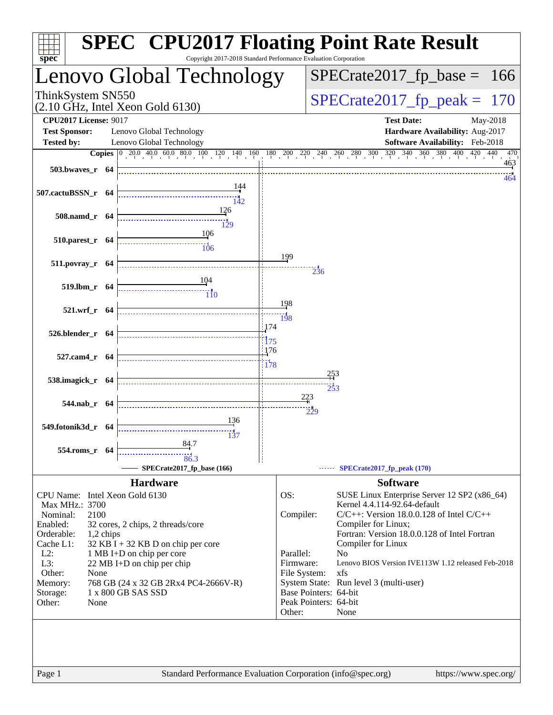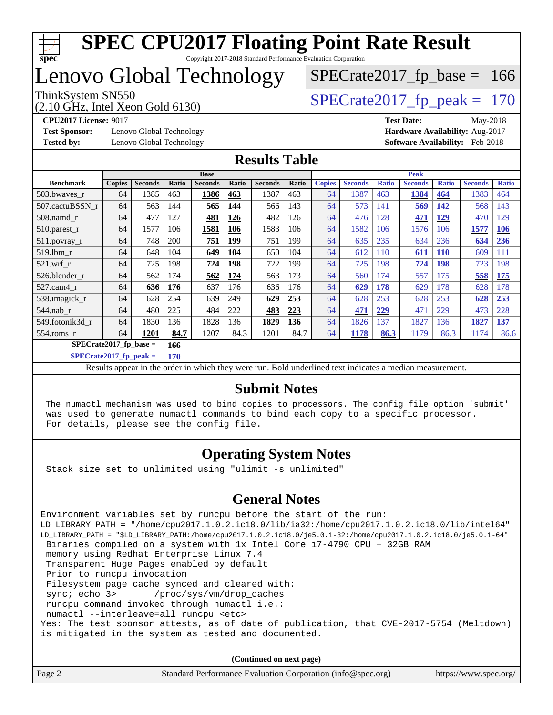

Copyright 2017-2018 Standard Performance Evaluation Corporation

# Lenovo Global Technology

(2.10 GHz, Intel Xeon Gold 6130)

ThinkSystem SN550<br>  $(2.10 \text{ GHz})$  Intel Xeon Gold 6130)

 $SPECTate2017_fp\_base = 166$ 

**[Test Sponsor:](http://www.spec.org/auto/cpu2017/Docs/result-fields.html#TestSponsor)** Lenovo Global Technology **[Hardware Availability:](http://www.spec.org/auto/cpu2017/Docs/result-fields.html#HardwareAvailability)** Aug-2017 **[Tested by:](http://www.spec.org/auto/cpu2017/Docs/result-fields.html#Testedby)** Lenovo Global Technology **[Software Availability:](http://www.spec.org/auto/cpu2017/Docs/result-fields.html#SoftwareAvailability)** Feb-2018

**[CPU2017 License:](http://www.spec.org/auto/cpu2017/Docs/result-fields.html#CPU2017License)** 9017 **[Test Date:](http://www.spec.org/auto/cpu2017/Docs/result-fields.html#TestDate)** May-2018

#### **[Results Table](http://www.spec.org/auto/cpu2017/Docs/result-fields.html#ResultsTable)**

|                          | <b>Base</b>   |                |       |                |              | <b>Peak</b>    |       |               |                |              |                |              |                |              |
|--------------------------|---------------|----------------|-------|----------------|--------------|----------------|-------|---------------|----------------|--------------|----------------|--------------|----------------|--------------|
| <b>Benchmark</b>         | <b>Copies</b> | <b>Seconds</b> | Ratio | <b>Seconds</b> | <b>Ratio</b> | <b>Seconds</b> | Ratio | <b>Copies</b> | <b>Seconds</b> | <b>Ratio</b> | <b>Seconds</b> | <b>Ratio</b> | <b>Seconds</b> | <b>Ratio</b> |
| 503.bwayes_r             | 64            | 1385           | 463   | 1386           | 463          | 1387           | 463   | 64            | 1387           | 463          | 1384           | 464          | 1383           | 464          |
| 507.cactuBSSN r          | 64            | 563            | 144   | 565            | 144          | 566            | 143   | 64            | 573            | 141          | 569            | <b>142</b>   | 568            | 143          |
| $508$ .namd $r$          | 64            | 477            | 127   | 481            | 126          | 482            | 126   | 64            | 476            | 128          | 471            | 129          | 470            | 129          |
| 510.parest_r             | 64            | 1577           | 106   | 1581           | 106          | 1583           | 106   | 64            | 1582           | 106          | 1576           | 106          | 1577           | <b>106</b>   |
| 511.povray_r             | 64            | 748            | 200   | 751            | 199          | 751            | 199   | 64            | 635            | 235          | 634            | 236          | 634            | 236          |
| 519.lbm r                | 64            | 648            | 104   | 649            | 104          | 650            | 104   | 64            | 612            | 110          | 611            | <b>110</b>   | 609            | 111          |
| $521$ .wrf r             | 64            | 725            | 198   | 724            | 198          | 722            | 199   | 64            | 725            | 198          | 724            | <b>198</b>   | 723            | 198          |
| 526.blender r            | 64            | 562            | 174   | 562            | 174          | 563            | 173   | 64            | 560            | 174          | 557            | 175          | 558            | <b>175</b>   |
| 527.cam4 r               | 64            | 636            | 176   | 637            | 176          | 636            | 176   | 64            | 629            | 178          | 629            | 178          | 628            | 178          |
| 538.imagick_r            | 64            | 628            | 254   | 639            | 249          | 629            | 253   | 64            | 628            | 253          | 628            | 253          | 628            | 253          |
| $544$ .nab r             | 64            | 480            | 225   | 484            | 222          | 483            | 223   | 64            | 471            | 229          | 471            | 229          | 473            | 228          |
| 549.fotonik3d r          | 64            | 1830           | 136   | 1828           | 136          | 1829           | 136   | 64            | 1826           | 137          | 1827           | 136          | 1827           | 137          |
| $554$ .roms $r$          | 64            | 1201           | 84.7  | 1207           | 84.3         | 1201           | 84.7  | 64            | 1178           | 86.3         | 1179           | 86.3         | 1174           | 86.6         |
| $SPECrate2017$ fp base = |               |                | 166   |                |              |                |       |               |                |              |                |              |                |              |

**[SPECrate2017\\_fp\\_peak =](http://www.spec.org/auto/cpu2017/Docs/result-fields.html#SPECrate2017fppeak) 170**

Results appear in the [order in which they were run.](http://www.spec.org/auto/cpu2017/Docs/result-fields.html#RunOrder) Bold underlined text [indicates a median measurement.](http://www.spec.org/auto/cpu2017/Docs/result-fields.html#Median)

#### **[Submit Notes](http://www.spec.org/auto/cpu2017/Docs/result-fields.html#SubmitNotes)**

 The numactl mechanism was used to bind copies to processors. The config file option 'submit' was used to generate numactl commands to bind each copy to a specific processor. For details, please see the config file.

#### **[Operating System Notes](http://www.spec.org/auto/cpu2017/Docs/result-fields.html#OperatingSystemNotes)**

Stack size set to unlimited using "ulimit -s unlimited"

#### **[General Notes](http://www.spec.org/auto/cpu2017/Docs/result-fields.html#GeneralNotes)**

Environment variables set by runcpu before the start of the run: LD\_LIBRARY\_PATH = "/home/cpu2017.1.0.2.ic18.0/lib/ia32:/home/cpu2017.1.0.2.ic18.0/lib/intel64" LD\_LIBRARY\_PATH = "\$LD\_LIBRARY\_PATH:/home/cpu2017.1.0.2.ic18.0/je5.0.1-32:/home/cpu2017.1.0.2.ic18.0/je5.0.1-64" Binaries compiled on a system with 1x Intel Core i7-4790 CPU + 32GB RAM memory using Redhat Enterprise Linux 7.4 Transparent Huge Pages enabled by default Prior to runcpu invocation Filesystem page cache synced and cleared with: sync; echo 3> /proc/sys/vm/drop\_caches runcpu command invoked through numactl i.e.: numactl --interleave=all runcpu <etc> Yes: The test sponsor attests, as of date of publication, that CVE-2017-5754 (Meltdown) is mitigated in the system as tested and documented.

**(Continued on next page)**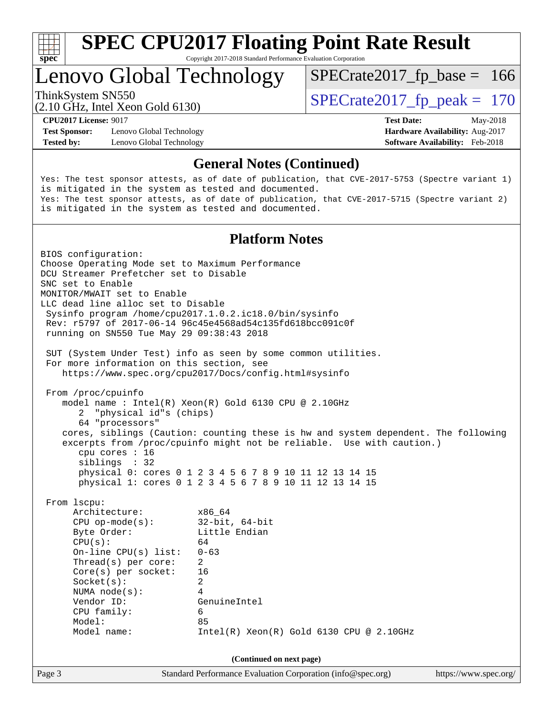

Copyright 2017-2018 Standard Performance Evaluation Corporation

# Lenovo Global Technology

ThinkSystem SN550<br>  $(2.10 \text{ GHz})$  Intel Yean Gold 6130)

 $SPECTate2017_fp\_base = 166$ 

(2.10 GHz, Intel Xeon Gold 6130)

**[Test Sponsor:](http://www.spec.org/auto/cpu2017/Docs/result-fields.html#TestSponsor)** Lenovo Global Technology **[Hardware Availability:](http://www.spec.org/auto/cpu2017/Docs/result-fields.html#HardwareAvailability)** Aug-2017 **[Tested by:](http://www.spec.org/auto/cpu2017/Docs/result-fields.html#Testedby)** Lenovo Global Technology **[Software Availability:](http://www.spec.org/auto/cpu2017/Docs/result-fields.html#SoftwareAvailability)** Feb-2018

**[CPU2017 License:](http://www.spec.org/auto/cpu2017/Docs/result-fields.html#CPU2017License)** 9017 **[Test Date:](http://www.spec.org/auto/cpu2017/Docs/result-fields.html#TestDate)** May-2018

#### **[General Notes \(Continued\)](http://www.spec.org/auto/cpu2017/Docs/result-fields.html#GeneralNotes)**

Yes: The test sponsor attests, as of date of publication, that CVE-2017-5753 (Spectre variant 1) is mitigated in the system as tested and documented. Yes: The test sponsor attests, as of date of publication, that CVE-2017-5715 (Spectre variant 2) is mitigated in the system as tested and documented.

#### **[Platform Notes](http://www.spec.org/auto/cpu2017/Docs/result-fields.html#PlatformNotes)**

Page 3 Standard Performance Evaluation Corporation [\(info@spec.org\)](mailto:info@spec.org) <https://www.spec.org/> BIOS configuration: Choose Operating Mode set to Maximum Performance DCU Streamer Prefetcher set to Disable SNC set to Enable MONITOR/MWAIT set to Enable LLC dead line alloc set to Disable Sysinfo program /home/cpu2017.1.0.2.ic18.0/bin/sysinfo Rev: r5797 of 2017-06-14 96c45e4568ad54c135fd618bcc091c0f running on SN550 Tue May 29 09:38:43 2018 SUT (System Under Test) info as seen by some common utilities. For more information on this section, see <https://www.spec.org/cpu2017/Docs/config.html#sysinfo> From /proc/cpuinfo model name : Intel(R) Xeon(R) Gold 6130 CPU @ 2.10GHz 2 "physical id"s (chips) 64 "processors" cores, siblings (Caution: counting these is hw and system dependent. The following excerpts from /proc/cpuinfo might not be reliable. Use with caution.) cpu cores : 16 siblings : 32 physical 0: cores 0 1 2 3 4 5 6 7 8 9 10 11 12 13 14 15 physical 1: cores 0 1 2 3 4 5 6 7 8 9 10 11 12 13 14 15 From lscpu: Architecture: x86\_64 CPU op-mode(s): 32-bit, 64-bit Byte Order: Little Endian  $CPU(s):$  64 On-line CPU(s) list: 0-63 Thread(s) per core: 2 Core(s) per socket: 16 Socket(s): 2 NUMA node(s): 4 Vendor ID: GenuineIntel CPU family: 6 Model: 85 Model name: Intel(R) Xeon(R) Gold 6130 CPU @ 2.10GHz **(Continued on next page)**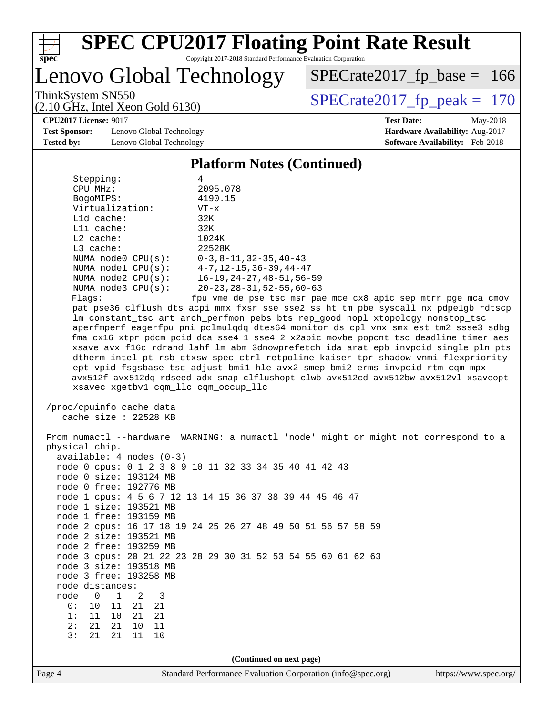

Copyright 2017-2018 Standard Performance Evaluation Corporation

Lenovo Global Technology

ThinkSystem SN550<br>  $(2.10 \text{ GHz})$  Intel Xeon Gold 6130)

 $SPECTate2017_fp\_base = 166$ 

**[Test Sponsor:](http://www.spec.org/auto/cpu2017/Docs/result-fields.html#TestSponsor)** Lenovo Global Technology **[Hardware Availability:](http://www.spec.org/auto/cpu2017/Docs/result-fields.html#HardwareAvailability)** Aug-2017 **[Tested by:](http://www.spec.org/auto/cpu2017/Docs/result-fields.html#Testedby)** Lenovo Global Technology **[Software Availability:](http://www.spec.org/auto/cpu2017/Docs/result-fields.html#SoftwareAvailability)** Feb-2018

(2.10 GHz, Intel Xeon Gold 6130)

**[CPU2017 License:](http://www.spec.org/auto/cpu2017/Docs/result-fields.html#CPU2017License)** 9017 **[Test Date:](http://www.spec.org/auto/cpu2017/Docs/result-fields.html#TestDate)** May-2018

### **[Platform Notes \(Continued\)](http://www.spec.org/auto/cpu2017/Docs/result-fields.html#PlatformNotes)**

| Stepping:               | 4                                             |
|-------------------------|-----------------------------------------------|
| CPU MHz:                | 2095.078                                      |
| BogoMIPS:               | 4190.15                                       |
| Virtualization:         | $VT - x$                                      |
| L1d cache:              | 32K                                           |
| $L1i$ cache:            | 32K                                           |
| $L2$ cache:             | 1024K                                         |
| $L3$ cache:             | 22528K                                        |
| NUMA $node0$ $CPU(s)$ : | $0-3, 8-11, 32-35, 40-43$                     |
| NUMA $node1$ $CPU(s)$ : | $4-7, 12-15, 36-39, 44-47$                    |
| NUMA $node2$ $CPU(s)$ : | $16 - 19, 24 - 27, 48 - 51, 56 - 59$          |
| NUMA $node3$ $CPU(s)$ : | $20 - 23$ , $28 - 31$ , $52 - 55$ , $60 - 63$ |
|                         |                                               |

Flags: fpu vme de pse tsc msr pae mce cx8 apic sep mtrr pge mca cmov pat pse36 clflush dts acpi mmx fxsr sse sse2 ss ht tm pbe syscall nx pdpe1gb rdtscp lm constant\_tsc art arch\_perfmon pebs bts rep\_good nopl xtopology nonstop\_tsc aperfmperf eagerfpu pni pclmulqdq dtes64 monitor ds\_cpl vmx smx est tm2 ssse3 sdbg fma cx16 xtpr pdcm pcid dca sse4\_1 sse4\_2 x2apic movbe popcnt tsc\_deadline\_timer aes xsave avx f16c rdrand lahf\_lm abm 3dnowprefetch ida arat epb invpcid\_single pln pts dtherm intel\_pt rsb\_ctxsw spec\_ctrl retpoline kaiser tpr\_shadow vnmi flexpriority ept vpid fsgsbase tsc\_adjust bmi1 hle avx2 smep bmi2 erms invpcid rtm cqm mpx avx512f avx512dq rdseed adx smap clflushopt clwb avx512cd avx512bw avx512vl xsaveopt xsavec xgetbv1 cqm\_llc cqm\_occup\_llc

 /proc/cpuinfo cache data cache size : 22528 KB

Page 4 Standard Performance Evaluation Corporation [\(info@spec.org\)](mailto:info@spec.org) <https://www.spec.org/> From numactl --hardware WARNING: a numactl 'node' might or might not correspond to a physical chip. available: 4 nodes (0-3) node 0 cpus: 0 1 2 3 8 9 10 11 32 33 34 35 40 41 42 43 node 0 size: 193124 MB node 0 free: 192776 MB node 1 cpus: 4 5 6 7 12 13 14 15 36 37 38 39 44 45 46 47 node 1 size: 193521 MB node 1 free: 193159 MB node 2 cpus: 16 17 18 19 24 25 26 27 48 49 50 51 56 57 58 59 node 2 size: 193521 MB node 2 free: 193259 MB node 3 cpus: 20 21 22 23 28 29 30 31 52 53 54 55 60 61 62 63 node 3 size: 193518 MB node 3 free: 193258 MB node distances:<br>node 0 1 node 0 1 2 3 0: 10 11 21 21 1: 11 10 21 21 2: 21 21 10 11 3: 21 21 11 10 **(Continued on next page)**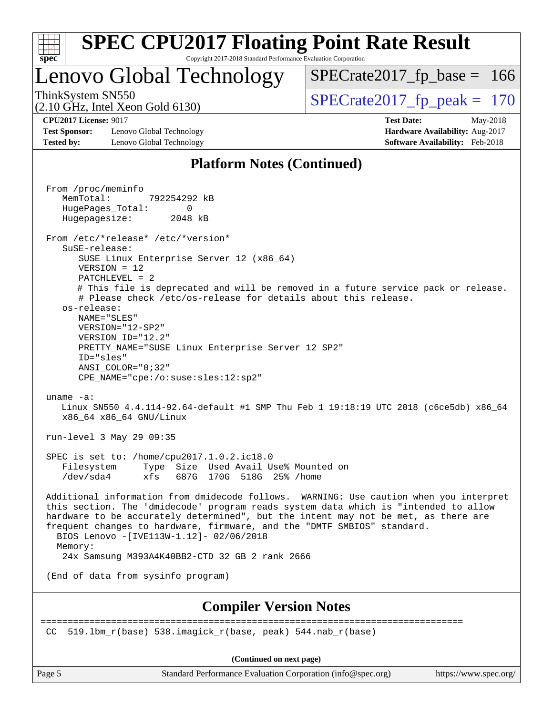

 Additional information from dmidecode follows. WARNING: Use caution when you interpret this section. The 'dmidecode' program reads system data which is "intended to allow hardware to be accurately determined", but the intent may not be met, as there are frequent changes to hardware, firmware, and the "DMTF SMBIOS" standard. BIOS Lenovo -[IVE113W-1.12]- 02/06/2018 Memory: 24x Samsung M393A4K40BB2-CTD 32 GB 2 rank 2666

(End of data from sysinfo program)

#### **[Compiler Version Notes](http://www.spec.org/auto/cpu2017/Docs/result-fields.html#CompilerVersionNotes)**

============================================================================== CC 519.1bm  $r(base)$  538.imagick  $r(base, peak)$  544.nab  $r(base)$ 

**(Continued on next page)**

Page 5 Standard Performance Evaluation Corporation [\(info@spec.org\)](mailto:info@spec.org) <https://www.spec.org/>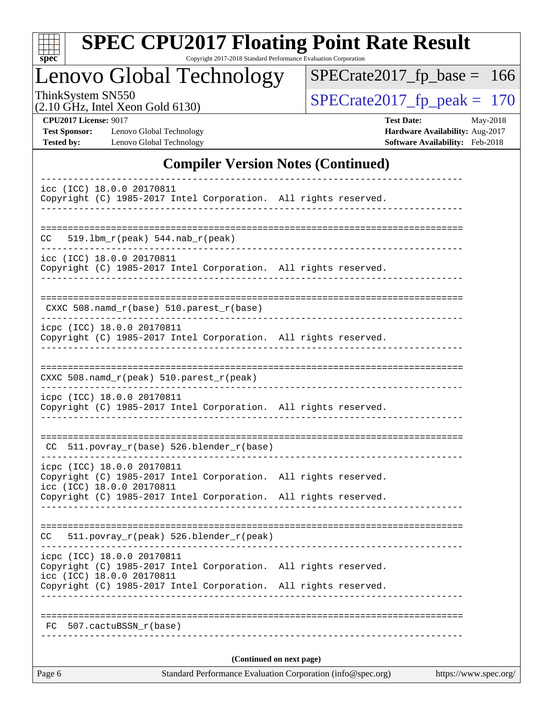| S<br>оe |  |  |  |  |
|---------|--|--|--|--|

Copyright 2017-2018 Standard Performance Evaluation Corporation

# Lenovo Global Technology

ThinkSystem SN550<br>  $(2.10 \text{ GHz})$  Intel Xeon Gold 6130)

[SPECrate2017\\_fp\\_base =](http://www.spec.org/auto/cpu2017/Docs/result-fields.html#SPECrate2017fpbase) 166

(2.10 GHz, Intel Xeon Gold 6130)

**[CPU2017 License:](http://www.spec.org/auto/cpu2017/Docs/result-fields.html#CPU2017License)** 9017 **[Test Date:](http://www.spec.org/auto/cpu2017/Docs/result-fields.html#TestDate)** May-2018 **[Test Sponsor:](http://www.spec.org/auto/cpu2017/Docs/result-fields.html#TestSponsor)** Lenovo Global Technology **[Hardware Availability:](http://www.spec.org/auto/cpu2017/Docs/result-fields.html#HardwareAvailability)** Aug-2017 [Tested by:](http://www.spec.org/auto/cpu2017/Docs/result-fields.html#Testedby) Lenovo Global Technology **[Software Availability:](http://www.spec.org/auto/cpu2017/Docs/result-fields.html#SoftwareAvailability)** Feb-2018

### **[Compiler Version Notes \(Continued\)](http://www.spec.org/auto/cpu2017/Docs/result-fields.html#CompilerVersionNotes)**

| Page 6                                                                                                                     | Standard Performance Evaluation Corporation (info@spec.org) | https://www.spec.org/ |
|----------------------------------------------------------------------------------------------------------------------------|-------------------------------------------------------------|-----------------------|
|                                                                                                                            | (Continued on next page)                                    |                       |
| 507.cactuBSSN r(base)<br>FC                                                                                                |                                                             |                       |
|                                                                                                                            |                                                             |                       |
| icc (ICC) 18.0.0 20170811<br>Copyright (C) 1985-2017 Intel Corporation. All rights reserved.                               |                                                             |                       |
| icpc (ICC) 18.0.0 20170811<br>Copyright (C) 1985-2017 Intel Corporation. All rights reserved.                              |                                                             |                       |
| $CC = 511. povray_r (peak) 526. blender_r (peak)$                                                                          |                                                             |                       |
| Copyright (C) 1985-2017 Intel Corporation. All rights reserved.                                                            |                                                             |                       |
| icpc (ICC) 18.0.0 20170811<br>Copyright (C) 1985-2017 Intel Corporation. All rights reserved.<br>icc (ICC) 18.0.0 20170811 |                                                             |                       |
| $CC$ 511.povray $r(base)$ 526.blender $r(base)$                                                                            |                                                             |                       |
| icpc (ICC) 18.0.0 20170811<br>Copyright (C) 1985-2017 Intel Corporation. All rights reserved.                              |                                                             |                       |
| CXXC 508.namd_r(peak) 510.parest_r(peak)                                                                                   |                                                             |                       |
| Copyright (C) 1985-2017 Intel Corporation. All rights reserved.                                                            |                                                             |                       |
| ----------------------<br>icpc (ICC) 18.0.0 20170811                                                                       |                                                             |                       |
| $CXXC 508.namd_r(base) 510.parest_r(base)$                                                                                 |                                                             |                       |
| icc (ICC) 18.0.0 20170811<br>Copyright (C) 1985-2017 Intel Corporation. All rights reserved.                               |                                                             |                       |
| $519.1bm_r(peak) 544.nab_r(peak)$<br>CC.<br>---------                                                                      |                                                             |                       |
| _________________                                                                                                          |                                                             |                       |
| icc (ICC) 18.0.0 20170811<br>Copyright (C) 1985-2017 Intel Corporation. All rights reserved.                               |                                                             |                       |
|                                                                                                                            |                                                             |                       |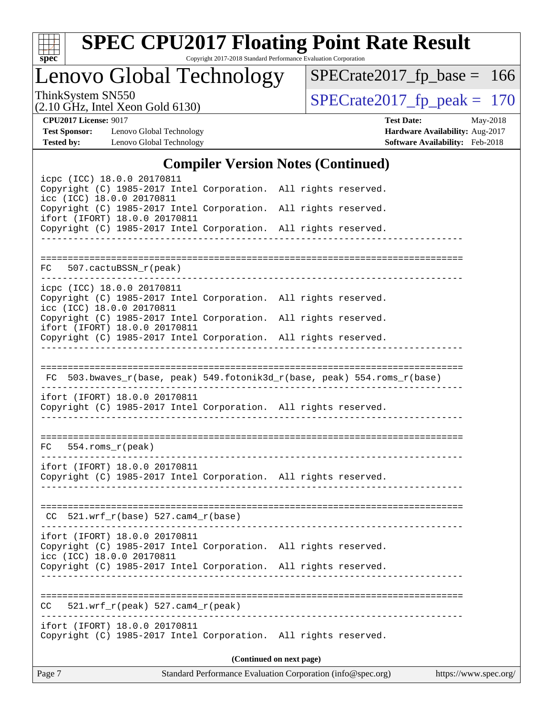

Copyright 2017-2018 Standard Performance Evaluation Corporation

# Lenovo Global Technology

ThinkSystem SN550<br>  $(2.10 \text{ GHz})$  Intel Xeon Gold 6130)

[SPECrate2017\\_fp\\_base =](http://www.spec.org/auto/cpu2017/Docs/result-fields.html#SPECrate2017fpbase) 166

(2.10 GHz, Intel Xeon Gold 6130)

**[CPU2017 License:](http://www.spec.org/auto/cpu2017/Docs/result-fields.html#CPU2017License)** 9017 **[Test Date:](http://www.spec.org/auto/cpu2017/Docs/result-fields.html#TestDate)** May-2018 **[Test Sponsor:](http://www.spec.org/auto/cpu2017/Docs/result-fields.html#TestSponsor)** Lenovo Global Technology **[Hardware Availability:](http://www.spec.org/auto/cpu2017/Docs/result-fields.html#HardwareAvailability)** Aug-2017 **[Tested by:](http://www.spec.org/auto/cpu2017/Docs/result-fields.html#Testedby)** Lenovo Global Technology **[Software Availability:](http://www.spec.org/auto/cpu2017/Docs/result-fields.html#SoftwareAvailability)** Feb-2018

### **[Compiler Version Notes \(Continued\)](http://www.spec.org/auto/cpu2017/Docs/result-fields.html#CompilerVersionNotes)**

| icpc (ICC) 18.0.0 20170811<br>Copyright (C) 1985-2017 Intel Corporation. All rights reserved.<br>icc (ICC) 18.0.0 20170811<br>Copyright (C) 1985-2017 Intel Corporation. All rights reserved.<br>ifort (IFORT) 18.0.0 20170811<br>Copyright (C) 1985-2017 Intel Corporation. All rights reserved. | ________________          |                          |  |
|---------------------------------------------------------------------------------------------------------------------------------------------------------------------------------------------------------------------------------------------------------------------------------------------------|---------------------------|--------------------------|--|
| FC 507.cactuBSSN_r(peak)                                                                                                                                                                                                                                                                          |                           |                          |  |
| icpc (ICC) 18.0.0 20170811<br>Copyright (C) 1985-2017 Intel Corporation. All rights reserved.<br>icc (ICC) 18.0.0 20170811<br>Copyright (C) 1985-2017 Intel Corporation. All rights reserved.                                                                                                     |                           |                          |  |
| ifort (IFORT) 18.0.0 20170811<br>Copyright (C) 1985-2017 Intel Corporation. All rights reserved.                                                                                                                                                                                                  |                           |                          |  |
| FC 503.bwaves_r(base, peak) 549.fotonik3d_r(base, peak) 554.roms_r(base)<br>--------------------------------<br>ifort (IFORT) 18.0.0 20170811<br>Copyright (C) 1985-2017 Intel Corporation. All rights reserved.                                                                                  |                           |                          |  |
| $FC 554.rows_r (peak)$                                                                                                                                                                                                                                                                            |                           |                          |  |
| ifort (IFORT) 18.0.0 20170811<br>Copyright (C) 1985-2017 Intel Corporation. All rights reserved.                                                                                                                                                                                                  | ------------------------- |                          |  |
| $CC$ 521.wrf_r(base) 527.cam4_r(base)                                                                                                                                                                                                                                                             |                           |                          |  |
| ifort (IFORT) 18.0.0 20170811<br>Copyright (C) 1985-2017 Intel Corporation. All rights reserved.<br>icc (ICC) 18.0.0 20170811<br>Copyright (C) 1985-2017 Intel Corporation. All rights reserved.                                                                                                  |                           |                          |  |
| 521.wrf_r(peak) 527.cam4_r(peak)<br>CC.                                                                                                                                                                                                                                                           |                           |                          |  |
| ifort (IFORT) 18.0.0 20170811<br>Copyright (C) 1985-2017 Intel Corporation. All rights reserved.                                                                                                                                                                                                  |                           |                          |  |
|                                                                                                                                                                                                                                                                                                   |                           | (Continued on next page) |  |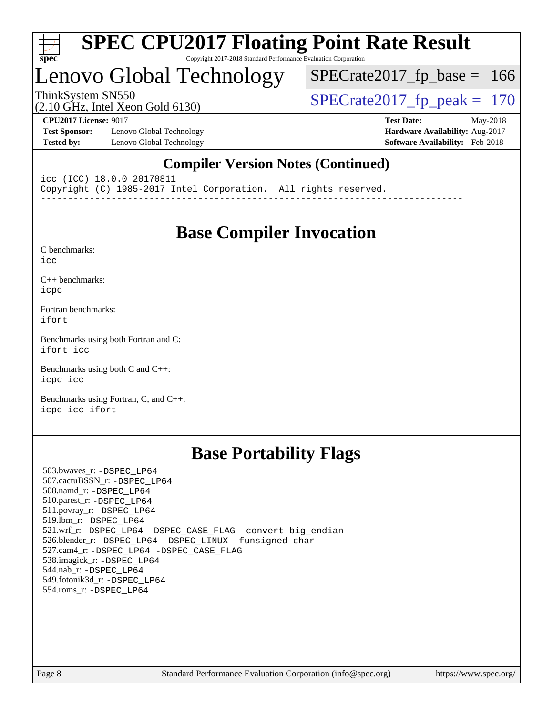

#### **[SPEC CPU2017 Floating Point Rate Result](http://www.spec.org/auto/cpu2017/Docs/result-fields.html#SPECCPU2017FloatingPointRateResult)** Copyright 2017-2018 Standard Performance Evaluation Corporation

# Lenovo Global Technology

ThinkSystem SN550<br>  $(2.10 \text{ GHz})$  Intel Xeon Gold 6130)  $SPECTate2017_fp\_base = 166$ 

(2.10 GHz, Intel Xeon Gold 6130)

**[Test Sponsor:](http://www.spec.org/auto/cpu2017/Docs/result-fields.html#TestSponsor)** Lenovo Global Technology **[Hardware Availability:](http://www.spec.org/auto/cpu2017/Docs/result-fields.html#HardwareAvailability)** Aug-2017 **[Tested by:](http://www.spec.org/auto/cpu2017/Docs/result-fields.html#Testedby)** Lenovo Global Technology **[Software Availability:](http://www.spec.org/auto/cpu2017/Docs/result-fields.html#SoftwareAvailability)** Feb-2018

**[CPU2017 License:](http://www.spec.org/auto/cpu2017/Docs/result-fields.html#CPU2017License)** 9017 **[Test Date:](http://www.spec.org/auto/cpu2017/Docs/result-fields.html#TestDate)** May-2018

### **[Compiler Version Notes \(Continued\)](http://www.spec.org/auto/cpu2017/Docs/result-fields.html#CompilerVersionNotes)**

icc (ICC) 18.0.0 20170811 Copyright (C) 1985-2017 Intel Corporation. All rights reserved. ------------------------------------------------------------------------------

## **[Base Compiler Invocation](http://www.spec.org/auto/cpu2017/Docs/result-fields.html#BaseCompilerInvocation)**

[C benchmarks](http://www.spec.org/auto/cpu2017/Docs/result-fields.html#Cbenchmarks):

[icc](http://www.spec.org/cpu2017/results/res2018q2/cpu2017-20180612-06965.flags.html#user_CCbase_intel_icc_18.0_66fc1ee009f7361af1fbd72ca7dcefbb700085f36577c54f309893dd4ec40d12360134090235512931783d35fd58c0460139e722d5067c5574d8eaf2b3e37e92)

[C++ benchmarks:](http://www.spec.org/auto/cpu2017/Docs/result-fields.html#CXXbenchmarks) [icpc](http://www.spec.org/cpu2017/results/res2018q2/cpu2017-20180612-06965.flags.html#user_CXXbase_intel_icpc_18.0_c510b6838c7f56d33e37e94d029a35b4a7bccf4766a728ee175e80a419847e808290a9b78be685c44ab727ea267ec2f070ec5dc83b407c0218cded6866a35d07)

[Fortran benchmarks](http://www.spec.org/auto/cpu2017/Docs/result-fields.html#Fortranbenchmarks): [ifort](http://www.spec.org/cpu2017/results/res2018q2/cpu2017-20180612-06965.flags.html#user_FCbase_intel_ifort_18.0_8111460550e3ca792625aed983ce982f94888b8b503583aa7ba2b8303487b4d8a21a13e7191a45c5fd58ff318f48f9492884d4413fa793fd88dd292cad7027ca)

[Benchmarks using both Fortran and C](http://www.spec.org/auto/cpu2017/Docs/result-fields.html#BenchmarksusingbothFortranandC): [ifort](http://www.spec.org/cpu2017/results/res2018q2/cpu2017-20180612-06965.flags.html#user_CC_FCbase_intel_ifort_18.0_8111460550e3ca792625aed983ce982f94888b8b503583aa7ba2b8303487b4d8a21a13e7191a45c5fd58ff318f48f9492884d4413fa793fd88dd292cad7027ca) [icc](http://www.spec.org/cpu2017/results/res2018q2/cpu2017-20180612-06965.flags.html#user_CC_FCbase_intel_icc_18.0_66fc1ee009f7361af1fbd72ca7dcefbb700085f36577c54f309893dd4ec40d12360134090235512931783d35fd58c0460139e722d5067c5574d8eaf2b3e37e92)

[Benchmarks using both C and C++](http://www.spec.org/auto/cpu2017/Docs/result-fields.html#BenchmarksusingbothCandCXX): [icpc](http://www.spec.org/cpu2017/results/res2018q2/cpu2017-20180612-06965.flags.html#user_CC_CXXbase_intel_icpc_18.0_c510b6838c7f56d33e37e94d029a35b4a7bccf4766a728ee175e80a419847e808290a9b78be685c44ab727ea267ec2f070ec5dc83b407c0218cded6866a35d07) [icc](http://www.spec.org/cpu2017/results/res2018q2/cpu2017-20180612-06965.flags.html#user_CC_CXXbase_intel_icc_18.0_66fc1ee009f7361af1fbd72ca7dcefbb700085f36577c54f309893dd4ec40d12360134090235512931783d35fd58c0460139e722d5067c5574d8eaf2b3e37e92)

[Benchmarks using Fortran, C, and C++:](http://www.spec.org/auto/cpu2017/Docs/result-fields.html#BenchmarksusingFortranCandCXX) [icpc](http://www.spec.org/cpu2017/results/res2018q2/cpu2017-20180612-06965.flags.html#user_CC_CXX_FCbase_intel_icpc_18.0_c510b6838c7f56d33e37e94d029a35b4a7bccf4766a728ee175e80a419847e808290a9b78be685c44ab727ea267ec2f070ec5dc83b407c0218cded6866a35d07) [icc](http://www.spec.org/cpu2017/results/res2018q2/cpu2017-20180612-06965.flags.html#user_CC_CXX_FCbase_intel_icc_18.0_66fc1ee009f7361af1fbd72ca7dcefbb700085f36577c54f309893dd4ec40d12360134090235512931783d35fd58c0460139e722d5067c5574d8eaf2b3e37e92) [ifort](http://www.spec.org/cpu2017/results/res2018q2/cpu2017-20180612-06965.flags.html#user_CC_CXX_FCbase_intel_ifort_18.0_8111460550e3ca792625aed983ce982f94888b8b503583aa7ba2b8303487b4d8a21a13e7191a45c5fd58ff318f48f9492884d4413fa793fd88dd292cad7027ca)

## **[Base Portability Flags](http://www.spec.org/auto/cpu2017/Docs/result-fields.html#BasePortabilityFlags)**

 503.bwaves\_r: [-DSPEC\\_LP64](http://www.spec.org/cpu2017/results/res2018q2/cpu2017-20180612-06965.flags.html#suite_basePORTABILITY503_bwaves_r_DSPEC_LP64) 507.cactuBSSN\_r: [-DSPEC\\_LP64](http://www.spec.org/cpu2017/results/res2018q2/cpu2017-20180612-06965.flags.html#suite_basePORTABILITY507_cactuBSSN_r_DSPEC_LP64) 508.namd\_r: [-DSPEC\\_LP64](http://www.spec.org/cpu2017/results/res2018q2/cpu2017-20180612-06965.flags.html#suite_basePORTABILITY508_namd_r_DSPEC_LP64) 510.parest\_r: [-DSPEC\\_LP64](http://www.spec.org/cpu2017/results/res2018q2/cpu2017-20180612-06965.flags.html#suite_basePORTABILITY510_parest_r_DSPEC_LP64) 511.povray\_r: [-DSPEC\\_LP64](http://www.spec.org/cpu2017/results/res2018q2/cpu2017-20180612-06965.flags.html#suite_basePORTABILITY511_povray_r_DSPEC_LP64) 519.lbm\_r: [-DSPEC\\_LP64](http://www.spec.org/cpu2017/results/res2018q2/cpu2017-20180612-06965.flags.html#suite_basePORTABILITY519_lbm_r_DSPEC_LP64) 521.wrf\_r: [-DSPEC\\_LP64](http://www.spec.org/cpu2017/results/res2018q2/cpu2017-20180612-06965.flags.html#suite_basePORTABILITY521_wrf_r_DSPEC_LP64) [-DSPEC\\_CASE\\_FLAG](http://www.spec.org/cpu2017/results/res2018q2/cpu2017-20180612-06965.flags.html#b521.wrf_r_baseCPORTABILITY_DSPEC_CASE_FLAG) [-convert big\\_endian](http://www.spec.org/cpu2017/results/res2018q2/cpu2017-20180612-06965.flags.html#user_baseFPORTABILITY521_wrf_r_convert_big_endian_c3194028bc08c63ac5d04de18c48ce6d347e4e562e8892b8bdbdc0214820426deb8554edfa529a3fb25a586e65a3d812c835984020483e7e73212c4d31a38223) 526.blender\_r: [-DSPEC\\_LP64](http://www.spec.org/cpu2017/results/res2018q2/cpu2017-20180612-06965.flags.html#suite_basePORTABILITY526_blender_r_DSPEC_LP64) [-DSPEC\\_LINUX](http://www.spec.org/cpu2017/results/res2018q2/cpu2017-20180612-06965.flags.html#b526.blender_r_baseCPORTABILITY_DSPEC_LINUX) [-funsigned-char](http://www.spec.org/cpu2017/results/res2018q2/cpu2017-20180612-06965.flags.html#user_baseCPORTABILITY526_blender_r_force_uchar_40c60f00ab013830e2dd6774aeded3ff59883ba5a1fc5fc14077f794d777847726e2a5858cbc7672e36e1b067e7e5c1d9a74f7176df07886a243d7cc18edfe67) 527.cam4\_r: [-DSPEC\\_LP64](http://www.spec.org/cpu2017/results/res2018q2/cpu2017-20180612-06965.flags.html#suite_basePORTABILITY527_cam4_r_DSPEC_LP64) [-DSPEC\\_CASE\\_FLAG](http://www.spec.org/cpu2017/results/res2018q2/cpu2017-20180612-06965.flags.html#b527.cam4_r_baseCPORTABILITY_DSPEC_CASE_FLAG) 538.imagick\_r: [-DSPEC\\_LP64](http://www.spec.org/cpu2017/results/res2018q2/cpu2017-20180612-06965.flags.html#suite_basePORTABILITY538_imagick_r_DSPEC_LP64) 544.nab\_r: [-DSPEC\\_LP64](http://www.spec.org/cpu2017/results/res2018q2/cpu2017-20180612-06965.flags.html#suite_basePORTABILITY544_nab_r_DSPEC_LP64) 549.fotonik3d\_r: [-DSPEC\\_LP64](http://www.spec.org/cpu2017/results/res2018q2/cpu2017-20180612-06965.flags.html#suite_basePORTABILITY549_fotonik3d_r_DSPEC_LP64) 554.roms\_r: [-DSPEC\\_LP64](http://www.spec.org/cpu2017/results/res2018q2/cpu2017-20180612-06965.flags.html#suite_basePORTABILITY554_roms_r_DSPEC_LP64)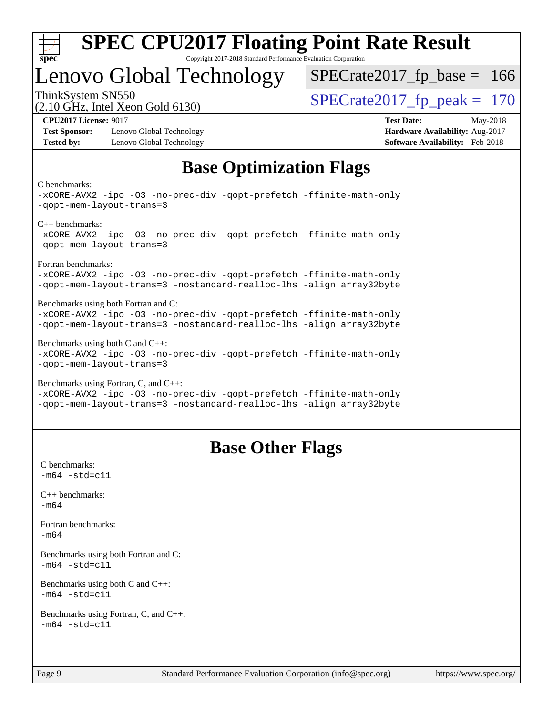

#### **[SPEC CPU2017 Floating Point Rate Result](http://www.spec.org/auto/cpu2017/Docs/result-fields.html#SPECCPU2017FloatingPointRateResult)** Copyright 2017-2018 Standard Performance Evaluation Corporation

# Lenovo Global Technology

ThinkSystem SN550<br>  $\overline{SPECrate2017\_fp\_peak} = 170$  $SPECTate2017_fp\_base = 166$ 

(2.10 GHz, Intel Xeon Gold 6130)

**[Test Sponsor:](http://www.spec.org/auto/cpu2017/Docs/result-fields.html#TestSponsor)** Lenovo Global Technology **[Hardware Availability:](http://www.spec.org/auto/cpu2017/Docs/result-fields.html#HardwareAvailability)** Aug-2017 **[Tested by:](http://www.spec.org/auto/cpu2017/Docs/result-fields.html#Testedby)** Lenovo Global Technology **[Software Availability:](http://www.spec.org/auto/cpu2017/Docs/result-fields.html#SoftwareAvailability)** Feb-2018

**[CPU2017 License:](http://www.spec.org/auto/cpu2017/Docs/result-fields.html#CPU2017License)** 9017 **[Test Date:](http://www.spec.org/auto/cpu2017/Docs/result-fields.html#TestDate)** May-2018

## **[Base Optimization Flags](http://www.spec.org/auto/cpu2017/Docs/result-fields.html#BaseOptimizationFlags)**

#### [C benchmarks](http://www.spec.org/auto/cpu2017/Docs/result-fields.html#Cbenchmarks):

```
-xCORE-AVX2 -ipo -O3 -no-prec-div -qopt-prefetch -ffinite-math-only
-qopt-mem-layout-trans=3
C++ benchmarks: 
-xCORE-AVX2 -ipo -O3 -no-prec-div -qopt-prefetch -ffinite-math-only
-qopt-mem-layout-trans=3
Fortran benchmarks: 
-xCORE-AVX2 -ipo -O3 -no-prec-div -qopt-prefetch -ffinite-math-only
-qopt-mem-layout-trans=3 -nostandard-realloc-lhs -align array32byte
Benchmarks using both Fortran and C: 
-xCORE-AVX2 -ipo -O3 -no-prec-div -qopt-prefetch -ffinite-math-only
-qopt-mem-layout-trans=3 -nostandard-realloc-lhs -align array32byte
Benchmarks using both C and C++: 
-xCORE-AVX2 -ipo -O3 -no-prec-div -qopt-prefetch -ffinite-math-only
-qopt-mem-layout-trans=3
Benchmarks using Fortran, C, and C++: 
-xCORE-AVX2 -ipo -O3 -no-prec-div -qopt-prefetch -ffinite-math-only
```
### [-qopt-mem-layout-trans=3](http://www.spec.org/cpu2017/results/res2018q2/cpu2017-20180612-06965.flags.html#user_CC_CXX_FCbase_f-qopt-mem-layout-trans_de80db37974c74b1f0e20d883f0b675c88c3b01e9d123adea9b28688d64333345fb62bc4a798493513fdb68f60282f9a726aa07f478b2f7113531aecce732043) [-nostandard-realloc-lhs](http://www.spec.org/cpu2017/results/res2018q2/cpu2017-20180612-06965.flags.html#user_CC_CXX_FCbase_f_2003_std_realloc_82b4557e90729c0f113870c07e44d33d6f5a304b4f63d4c15d2d0f1fab99f5daaed73bdb9275d9ae411527f28b936061aa8b9c8f2d63842963b95c9dd6426b8a) [-align array32byte](http://www.spec.org/cpu2017/results/res2018q2/cpu2017-20180612-06965.flags.html#user_CC_CXX_FCbase_align_array32byte_b982fe038af199962ba9a80c053b8342c548c85b40b8e86eb3cc33dee0d7986a4af373ac2d51c3f7cf710a18d62fdce2948f201cd044323541f22fc0fffc51b6)

## **[Base Other Flags](http://www.spec.org/auto/cpu2017/Docs/result-fields.html#BaseOtherFlags)**

[C benchmarks](http://www.spec.org/auto/cpu2017/Docs/result-fields.html#Cbenchmarks):  $-m64 - std = c11$  $-m64 - std = c11$ [C++ benchmarks:](http://www.spec.org/auto/cpu2017/Docs/result-fields.html#CXXbenchmarks) [-m64](http://www.spec.org/cpu2017/results/res2018q2/cpu2017-20180612-06965.flags.html#user_CXXbase_intel_intel64_18.0_af43caccfc8ded86e7699f2159af6efc7655f51387b94da716254467f3c01020a5059329e2569e4053f409e7c9202a7efc638f7a6d1ffb3f52dea4a3e31d82ab) [Fortran benchmarks](http://www.spec.org/auto/cpu2017/Docs/result-fields.html#Fortranbenchmarks): [-m64](http://www.spec.org/cpu2017/results/res2018q2/cpu2017-20180612-06965.flags.html#user_FCbase_intel_intel64_18.0_af43caccfc8ded86e7699f2159af6efc7655f51387b94da716254467f3c01020a5059329e2569e4053f409e7c9202a7efc638f7a6d1ffb3f52dea4a3e31d82ab) [Benchmarks using both Fortran and C](http://www.spec.org/auto/cpu2017/Docs/result-fields.html#BenchmarksusingbothFortranandC):  $-m64$   $-std=cl1$ [Benchmarks using both C and C++](http://www.spec.org/auto/cpu2017/Docs/result-fields.html#BenchmarksusingbothCandCXX):  $-m64 - std= c11$  $-m64 - std= c11$ [Benchmarks using Fortran, C, and C++:](http://www.spec.org/auto/cpu2017/Docs/result-fields.html#BenchmarksusingFortranCandCXX)  $-m64 - std = c11$  $-m64 - std = c11$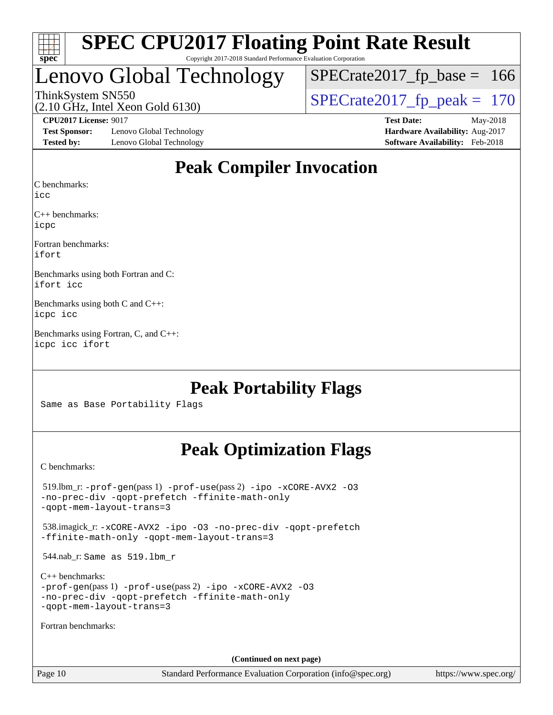

Copyright 2017-2018 Standard Performance Evaluation Corporation

# Lenovo Global Technology

ThinkSystem SN550<br>  $(2.10 \text{ GHz})$  Intel Xeon Gold 6130)  $SPECTate2017_fp\_base = 166$ 

(2.10 GHz, Intel Xeon Gold 6130)

**[Test Sponsor:](http://www.spec.org/auto/cpu2017/Docs/result-fields.html#TestSponsor)** Lenovo Global Technology **[Hardware Availability:](http://www.spec.org/auto/cpu2017/Docs/result-fields.html#HardwareAvailability)** Aug-2017 **[Tested by:](http://www.spec.org/auto/cpu2017/Docs/result-fields.html#Testedby)** Lenovo Global Technology **[Software Availability:](http://www.spec.org/auto/cpu2017/Docs/result-fields.html#SoftwareAvailability)** Feb-2018

**[CPU2017 License:](http://www.spec.org/auto/cpu2017/Docs/result-fields.html#CPU2017License)** 9017 **[Test Date:](http://www.spec.org/auto/cpu2017/Docs/result-fields.html#TestDate)** May-2018

## **[Peak Compiler Invocation](http://www.spec.org/auto/cpu2017/Docs/result-fields.html#PeakCompilerInvocation)**

[C benchmarks](http://www.spec.org/auto/cpu2017/Docs/result-fields.html#Cbenchmarks):

[icc](http://www.spec.org/cpu2017/results/res2018q2/cpu2017-20180612-06965.flags.html#user_CCpeak_intel_icc_18.0_66fc1ee009f7361af1fbd72ca7dcefbb700085f36577c54f309893dd4ec40d12360134090235512931783d35fd58c0460139e722d5067c5574d8eaf2b3e37e92)

[C++ benchmarks:](http://www.spec.org/auto/cpu2017/Docs/result-fields.html#CXXbenchmarks) [icpc](http://www.spec.org/cpu2017/results/res2018q2/cpu2017-20180612-06965.flags.html#user_CXXpeak_intel_icpc_18.0_c510b6838c7f56d33e37e94d029a35b4a7bccf4766a728ee175e80a419847e808290a9b78be685c44ab727ea267ec2f070ec5dc83b407c0218cded6866a35d07)

[Fortran benchmarks](http://www.spec.org/auto/cpu2017/Docs/result-fields.html#Fortranbenchmarks): [ifort](http://www.spec.org/cpu2017/results/res2018q2/cpu2017-20180612-06965.flags.html#user_FCpeak_intel_ifort_18.0_8111460550e3ca792625aed983ce982f94888b8b503583aa7ba2b8303487b4d8a21a13e7191a45c5fd58ff318f48f9492884d4413fa793fd88dd292cad7027ca)

[Benchmarks using both Fortran and C](http://www.spec.org/auto/cpu2017/Docs/result-fields.html#BenchmarksusingbothFortranandC): [ifort](http://www.spec.org/cpu2017/results/res2018q2/cpu2017-20180612-06965.flags.html#user_CC_FCpeak_intel_ifort_18.0_8111460550e3ca792625aed983ce982f94888b8b503583aa7ba2b8303487b4d8a21a13e7191a45c5fd58ff318f48f9492884d4413fa793fd88dd292cad7027ca) [icc](http://www.spec.org/cpu2017/results/res2018q2/cpu2017-20180612-06965.flags.html#user_CC_FCpeak_intel_icc_18.0_66fc1ee009f7361af1fbd72ca7dcefbb700085f36577c54f309893dd4ec40d12360134090235512931783d35fd58c0460139e722d5067c5574d8eaf2b3e37e92)

[Benchmarks using both C and C++:](http://www.spec.org/auto/cpu2017/Docs/result-fields.html#BenchmarksusingbothCandCXX) [icpc](http://www.spec.org/cpu2017/results/res2018q2/cpu2017-20180612-06965.flags.html#user_CC_CXXpeak_intel_icpc_18.0_c510b6838c7f56d33e37e94d029a35b4a7bccf4766a728ee175e80a419847e808290a9b78be685c44ab727ea267ec2f070ec5dc83b407c0218cded6866a35d07) [icc](http://www.spec.org/cpu2017/results/res2018q2/cpu2017-20180612-06965.flags.html#user_CC_CXXpeak_intel_icc_18.0_66fc1ee009f7361af1fbd72ca7dcefbb700085f36577c54f309893dd4ec40d12360134090235512931783d35fd58c0460139e722d5067c5574d8eaf2b3e37e92)

[Benchmarks using Fortran, C, and C++](http://www.spec.org/auto/cpu2017/Docs/result-fields.html#BenchmarksusingFortranCandCXX): [icpc](http://www.spec.org/cpu2017/results/res2018q2/cpu2017-20180612-06965.flags.html#user_CC_CXX_FCpeak_intel_icpc_18.0_c510b6838c7f56d33e37e94d029a35b4a7bccf4766a728ee175e80a419847e808290a9b78be685c44ab727ea267ec2f070ec5dc83b407c0218cded6866a35d07) [icc](http://www.spec.org/cpu2017/results/res2018q2/cpu2017-20180612-06965.flags.html#user_CC_CXX_FCpeak_intel_icc_18.0_66fc1ee009f7361af1fbd72ca7dcefbb700085f36577c54f309893dd4ec40d12360134090235512931783d35fd58c0460139e722d5067c5574d8eaf2b3e37e92) [ifort](http://www.spec.org/cpu2017/results/res2018q2/cpu2017-20180612-06965.flags.html#user_CC_CXX_FCpeak_intel_ifort_18.0_8111460550e3ca792625aed983ce982f94888b8b503583aa7ba2b8303487b4d8a21a13e7191a45c5fd58ff318f48f9492884d4413fa793fd88dd292cad7027ca)

## **[Peak Portability Flags](http://www.spec.org/auto/cpu2017/Docs/result-fields.html#PeakPortabilityFlags)**

Same as Base Portability Flags

## **[Peak Optimization Flags](http://www.spec.org/auto/cpu2017/Docs/result-fields.html#PeakOptimizationFlags)**

[C benchmarks](http://www.spec.org/auto/cpu2017/Docs/result-fields.html#Cbenchmarks):

 519.lbm\_r: [-prof-gen](http://www.spec.org/cpu2017/results/res2018q2/cpu2017-20180612-06965.flags.html#user_peakPASS1_CFLAGSPASS1_LDFLAGS519_lbm_r_prof_gen_5aa4926d6013ddb2a31985c654b3eb18169fc0c6952a63635c234f711e6e63dd76e94ad52365559451ec499a2cdb89e4dc58ba4c67ef54ca681ffbe1461d6b36)(pass 1) [-prof-use](http://www.spec.org/cpu2017/results/res2018q2/cpu2017-20180612-06965.flags.html#user_peakPASS2_CFLAGSPASS2_LDFLAGS519_lbm_r_prof_use_1a21ceae95f36a2b53c25747139a6c16ca95bd9def2a207b4f0849963b97e94f5260e30a0c64f4bb623698870e679ca08317ef8150905d41bd88c6f78df73f19)(pass 2) [-ipo](http://www.spec.org/cpu2017/results/res2018q2/cpu2017-20180612-06965.flags.html#user_peakPASS1_COPTIMIZEPASS2_COPTIMIZE519_lbm_r_f-ipo) [-xCORE-AVX2](http://www.spec.org/cpu2017/results/res2018q2/cpu2017-20180612-06965.flags.html#user_peakPASS2_COPTIMIZE519_lbm_r_f-xCORE-AVX2) [-O3](http://www.spec.org/cpu2017/results/res2018q2/cpu2017-20180612-06965.flags.html#user_peakPASS1_COPTIMIZEPASS2_COPTIMIZE519_lbm_r_f-O3) [-no-prec-div](http://www.spec.org/cpu2017/results/res2018q2/cpu2017-20180612-06965.flags.html#user_peakPASS1_COPTIMIZEPASS2_COPTIMIZE519_lbm_r_f-no-prec-div) [-qopt-prefetch](http://www.spec.org/cpu2017/results/res2018q2/cpu2017-20180612-06965.flags.html#user_peakPASS1_COPTIMIZEPASS2_COPTIMIZE519_lbm_r_f-qopt-prefetch) [-ffinite-math-only](http://www.spec.org/cpu2017/results/res2018q2/cpu2017-20180612-06965.flags.html#user_peakPASS1_COPTIMIZEPASS2_COPTIMIZE519_lbm_r_f_finite_math_only_cb91587bd2077682c4b38af759c288ed7c732db004271a9512da14a4f8007909a5f1427ecbf1a0fb78ff2a814402c6114ac565ca162485bbcae155b5e4258871) [-qopt-mem-layout-trans=3](http://www.spec.org/cpu2017/results/res2018q2/cpu2017-20180612-06965.flags.html#user_peakPASS1_COPTIMIZEPASS2_COPTIMIZE519_lbm_r_f-qopt-mem-layout-trans_de80db37974c74b1f0e20d883f0b675c88c3b01e9d123adea9b28688d64333345fb62bc4a798493513fdb68f60282f9a726aa07f478b2f7113531aecce732043) 538.imagick\_r: [-xCORE-AVX2](http://www.spec.org/cpu2017/results/res2018q2/cpu2017-20180612-06965.flags.html#user_peakCOPTIMIZE538_imagick_r_f-xCORE-AVX2) [-ipo](http://www.spec.org/cpu2017/results/res2018q2/cpu2017-20180612-06965.flags.html#user_peakCOPTIMIZE538_imagick_r_f-ipo) [-O3](http://www.spec.org/cpu2017/results/res2018q2/cpu2017-20180612-06965.flags.html#user_peakCOPTIMIZE538_imagick_r_f-O3) [-no-prec-div](http://www.spec.org/cpu2017/results/res2018q2/cpu2017-20180612-06965.flags.html#user_peakCOPTIMIZE538_imagick_r_f-no-prec-div) [-qopt-prefetch](http://www.spec.org/cpu2017/results/res2018q2/cpu2017-20180612-06965.flags.html#user_peakCOPTIMIZE538_imagick_r_f-qopt-prefetch) [-ffinite-math-only](http://www.spec.org/cpu2017/results/res2018q2/cpu2017-20180612-06965.flags.html#user_peakCOPTIMIZE538_imagick_r_f_finite_math_only_cb91587bd2077682c4b38af759c288ed7c732db004271a9512da14a4f8007909a5f1427ecbf1a0fb78ff2a814402c6114ac565ca162485bbcae155b5e4258871) [-qopt-mem-layout-trans=3](http://www.spec.org/cpu2017/results/res2018q2/cpu2017-20180612-06965.flags.html#user_peakCOPTIMIZE538_imagick_r_f-qopt-mem-layout-trans_de80db37974c74b1f0e20d883f0b675c88c3b01e9d123adea9b28688d64333345fb62bc4a798493513fdb68f60282f9a726aa07f478b2f7113531aecce732043) 544.nab\_r: Same as 519.lbm\_r [C++ benchmarks:](http://www.spec.org/auto/cpu2017/Docs/result-fields.html#CXXbenchmarks) [-prof-gen](http://www.spec.org/cpu2017/results/res2018q2/cpu2017-20180612-06965.flags.html#user_CXXpeak_prof_gen_5aa4926d6013ddb2a31985c654b3eb18169fc0c6952a63635c234f711e6e63dd76e94ad52365559451ec499a2cdb89e4dc58ba4c67ef54ca681ffbe1461d6b36)(pass 1) [-prof-use](http://www.spec.org/cpu2017/results/res2018q2/cpu2017-20180612-06965.flags.html#user_CXXpeak_prof_use_1a21ceae95f36a2b53c25747139a6c16ca95bd9def2a207b4f0849963b97e94f5260e30a0c64f4bb623698870e679ca08317ef8150905d41bd88c6f78df73f19)(pass 2) [-ipo](http://www.spec.org/cpu2017/results/res2018q2/cpu2017-20180612-06965.flags.html#user_CXXpeak_f-ipo) [-xCORE-AVX2](http://www.spec.org/cpu2017/results/res2018q2/cpu2017-20180612-06965.flags.html#user_CXXpeak_f-xCORE-AVX2) [-O3](http://www.spec.org/cpu2017/results/res2018q2/cpu2017-20180612-06965.flags.html#user_CXXpeak_f-O3) [-no-prec-div](http://www.spec.org/cpu2017/results/res2018q2/cpu2017-20180612-06965.flags.html#user_CXXpeak_f-no-prec-div) [-qopt-prefetch](http://www.spec.org/cpu2017/results/res2018q2/cpu2017-20180612-06965.flags.html#user_CXXpeak_f-qopt-prefetch) [-ffinite-math-only](http://www.spec.org/cpu2017/results/res2018q2/cpu2017-20180612-06965.flags.html#user_CXXpeak_f_finite_math_only_cb91587bd2077682c4b38af759c288ed7c732db004271a9512da14a4f8007909a5f1427ecbf1a0fb78ff2a814402c6114ac565ca162485bbcae155b5e4258871) [-qopt-mem-layout-trans=3](http://www.spec.org/cpu2017/results/res2018q2/cpu2017-20180612-06965.flags.html#user_CXXpeak_f-qopt-mem-layout-trans_de80db37974c74b1f0e20d883f0b675c88c3b01e9d123adea9b28688d64333345fb62bc4a798493513fdb68f60282f9a726aa07f478b2f7113531aecce732043) [Fortran benchmarks](http://www.spec.org/auto/cpu2017/Docs/result-fields.html#Fortranbenchmarks): **(Continued on next page)**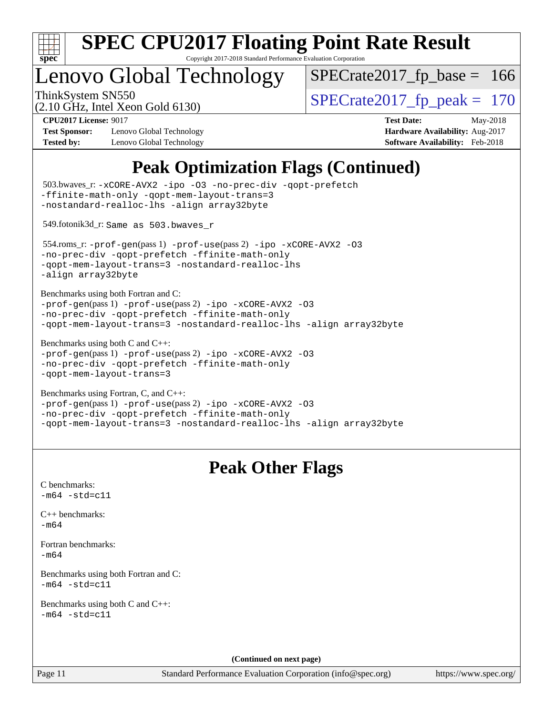

Copyright 2017-2018 Standard Performance Evaluation Corporation

# Lenovo Global Technology

ThinkSystem SN550<br>  $(2.10 \text{ GHz})$  Intel Xeon Gold 6130) [SPECrate2017\\_fp\\_base =](http://www.spec.org/auto/cpu2017/Docs/result-fields.html#SPECrate2017fpbase) 166

(2.10 GHz, Intel Xeon Gold 6130)

**[Test Sponsor:](http://www.spec.org/auto/cpu2017/Docs/result-fields.html#TestSponsor)** Lenovo Global Technology **[Hardware Availability:](http://www.spec.org/auto/cpu2017/Docs/result-fields.html#HardwareAvailability)** Aug-2017 **[Tested by:](http://www.spec.org/auto/cpu2017/Docs/result-fields.html#Testedby)** Lenovo Global Technology **[Software Availability:](http://www.spec.org/auto/cpu2017/Docs/result-fields.html#SoftwareAvailability)** Feb-2018

**[CPU2017 License:](http://www.spec.org/auto/cpu2017/Docs/result-fields.html#CPU2017License)** 9017 **[Test Date:](http://www.spec.org/auto/cpu2017/Docs/result-fields.html#TestDate)** May-2018

# **[Peak Optimization Flags \(Continued\)](http://www.spec.org/auto/cpu2017/Docs/result-fields.html#PeakOptimizationFlags)**

| 503.bwaves_r: -xCORE-AVX2 -ipo -03 -no-prec-div -qopt-prefetch<br>-ffinite-math-only -qopt-mem-layout-trans=3<br>-nostandard-realloc-lhs -align array32byte                                     |                                                                     |
|-------------------------------------------------------------------------------------------------------------------------------------------------------------------------------------------------|---------------------------------------------------------------------|
| 549.fotonik3d_r: Same as 503.bwaves_r                                                                                                                                                           |                                                                     |
| 554.roms_r:-prof-gen(pass 1) -prof-use(pass 2) -ipo -xCORE-AVX2 -03<br>-no-prec-div -qopt-prefetch -ffinite-math-only<br>-qopt-mem-layout-trans=3 -nostandard-realloc-lhs<br>-align array32byte |                                                                     |
| Benchmarks using both Fortran and C:<br>-prof-gen(pass 1) -prof-use(pass 2) -ipo -xCORE-AVX2 -03<br>-no-prec-div -qopt-prefetch -ffinite-math-only                                              | -qopt-mem-layout-trans=3 -nostandard-realloc-lhs -align array32byte |
| Benchmarks using both C and C++:<br>-prof-gen(pass 1) -prof-use(pass 2) -ipo -xCORE-AVX2 -03<br>-no-prec-div -qopt-prefetch -ffinite-math-only<br>-qopt-mem-layout-trans=3                      |                                                                     |
| Benchmarks using Fortran, C, and C++:<br>-prof-gen(pass 1) -prof-use(pass 2) -ipo -xCORE-AVX2 -03<br>-no-prec-div -qopt-prefetch -ffinite-math-only                                             | -qopt-mem-layout-trans=3 -nostandard-realloc-lhs -align array32byte |
|                                                                                                                                                                                                 | <b>Peak Other Flags</b>                                             |
| C benchmarks:<br>$-m64 - std= c11$                                                                                                                                                              |                                                                     |
| $C++$ benchmarks:<br>$-m64$                                                                                                                                                                     |                                                                     |
| Fortran benchmarks:                                                                                                                                                                             |                                                                     |
| $-m64$                                                                                                                                                                                          |                                                                     |
| Benchmarks using both Fortran and C:<br>m64 -std=c11                                                                                                                                            |                                                                     |
| Benchmarks using both C and C++:<br>$-m64 - std= c11$                                                                                                                                           |                                                                     |
|                                                                                                                                                                                                 | (Continued on next page)                                            |

<https://www.spec.org/>